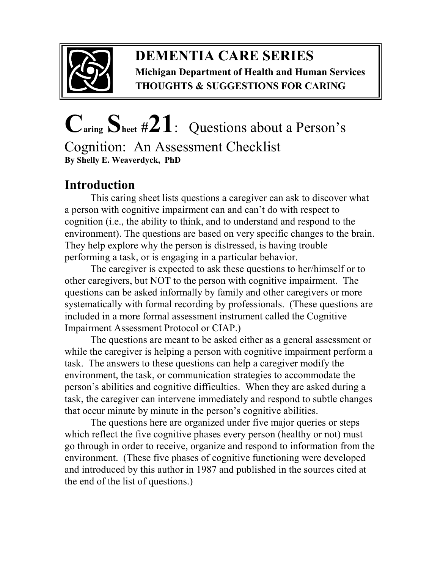

### **DEMENTIA CARE SERIES Michigan Department of Health and Human Services THOUGHTS & SUGGESTIONS FOR CARING**

# **Caring Sheet #21**:Questions about a Person's

Cognition: An Assessment Checklist **By Shelly E. Weaverdyck, PhD** 

## **Introduction**

This caring sheet lists questions a caregiver can ask to discover what a person with cognitive impairment can and can't do with respect to cognition (i.e., the ability to think, and to understand and respond to the environment). The questions are based on very specific changes to the brain. They help explore why the person is distressed, is having trouble performing a task, or is engaging in a particular behavior.

The caregiver is expected to ask these questions to her/himself or to other caregivers, but NOT to the person with cognitive impairment. The questions can be asked informally by family and other caregivers or more systematically with formal recording by professionals. (These questions are included in a more formal assessment instrument called the Cognitive Impairment Assessment Protocol or CIAP.)

 The questions are meant to be asked either as a general assessment or while the caregiver is helping a person with cognitive impairment perform a task. The answers to these questions can help a caregiver modify the environment, the task, or communication strategies to accommodate the person's abilities and cognitive difficulties. When they are asked during a task, the caregiver can intervene immediately and respond to subtle changes that occur minute by minute in the person's cognitive abilities.

 The questions here are organized under five major queries or steps which reflect the five cognitive phases every person (healthy or not) must go through in order to receive, organize and respond to information from the environment. (These five phases of cognitive functioning were developed and introduced by this author in 1987 and published in the sources cited at the end of the list of questions.)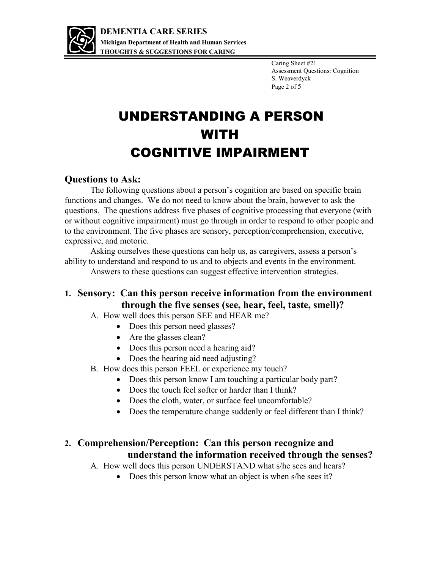

Caring Sheet #21 Assessment Questions: Cognition S. Weaverdyck Page 2 of 5

# UNDERSTANDING A PERSON WITH COGNITIVE IMPAIRMENT

#### **Questions to Ask:**

The following questions about a person's cognition are based on specific brain functions and changes. We do not need to know about the brain, however to ask the questions. The questions address five phases of cognitive processing that everyone (with or without cognitive impairment) must go through in order to respond to other people and to the environment. The five phases are sensory, perception/comprehension, executive, expressive, and motoric.

Asking ourselves these questions can help us, as caregivers, assess a person's ability to understand and respond to us and to objects and events in the environment. Answers to these questions can suggest effective intervention strategies.

#### **1. Sensory: Can this person receive information from the environment through the five senses (see, hear, feel, taste, smell)?**

- A. How well does this person SEE and HEAR me?
	- Does this person need glasses?
	- Are the glasses clean?
	- Does this person need a hearing aid?
	- Does the hearing aid need adjusting?
- B. How does this person FEEL or experience my touch?
	- Does this person know I am touching a particular body part?
	- Does the touch feel softer or harder than I think?
	- Does the cloth, water, or surface feel uncomfortable?
	- Does the temperature change suddenly or feel different than I think?

#### **2. Comprehension/Perception: Can this person recognize and understand the information received through the senses?**

A. How well does this person UNDERSTAND what s/he sees and hears?

• Does this person know what an object is when s/he sees it?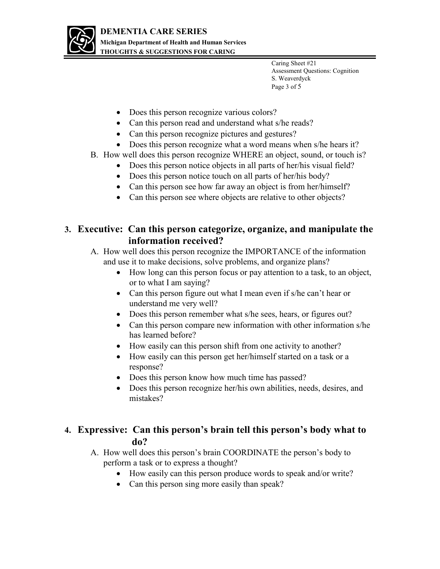

Caring Sheet #21 Assessment Questions: Cognition S. Weaverdyck Page 3 of 5

- Does this person recognize various colors?
- Can this person read and understand what s/he reads?
- Can this person recognize pictures and gestures?
- Does this person recognize what a word means when s/he hears it?
- B. How well does this person recognize WHERE an object, sound, or touch is?
	- Does this person notice objects in all parts of her/his visual field?
	- Does this person notice touch on all parts of her/his body?
	- Can this person see how far away an object is from her/himself?
	- Can this person see where objects are relative to other objects?

#### **3. Executive: Can this person categorize, organize, and manipulate the information received?**

A. How well does this person recognize the IMPORTANCE of the information and use it to make decisions, solve problems, and organize plans?

- How long can this person focus or pay attention to a task, to an object, or to what I am saying?
- Can this person figure out what I mean even if s/he can't hear or understand me very well?
- Does this person remember what s/he sees, hears, or figures out?
- Can this person compare new information with other information s/he has learned before?
- How easily can this person shift from one activity to another?
- How easily can this person get her/himself started on a task or a response?
- Does this person know how much time has passed?
- Does this person recognize her/his own abilities, needs, desires, and mistakes?

#### **4. Expressive: Can this person's brain tell this person's body what to do?**

- A. How well does this person's brain COORDINATE the person's body to perform a task or to express a thought?
	- How easily can this person produce words to speak and/or write?
	- Can this person sing more easily than speak?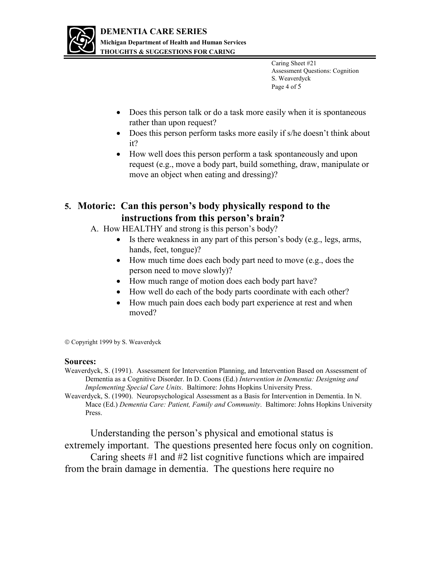

Caring Sheet #21 Assessment Questions: Cognition S. Weaverdyck Page 4 of 5

- Does this person talk or do a task more easily when it is spontaneous rather than upon request?
- Does this person perform tasks more easily if s/he doesn't think about it?
- How well does this person perform a task spontaneously and upon request (e.g., move a body part, build something, draw, manipulate or move an object when eating and dressing)?

#### **5. Motoric: Can this person's body physically respond to the instructions from this person's brain?**

- A. How HEALTHY and strong is this person's body?
	- Is there weakness in any part of this person's body (e.g., legs, arms, hands, feet, tongue)?
	- How much time does each body part need to move (e.g., does the person need to move slowly)?
	- How much range of motion does each body part have?
	- How well do each of the body parts coordinate with each other?
	- How much pain does each body part experience at rest and when moved?

Copyright 1999 by S. Weaverdyck

#### **Sources:**

Weaverdyck, S. (1991). Assessment for Intervention Planning, and Intervention Based on Assessment of Dementia as a Cognitive Disorder. In D. Coons (Ed.) *Intervention in Dementia: Designing and Implementing Special Care Units*. Baltimore: Johns Hopkins University Press.

Weaverdyck, S. (1990). Neuropsychological Assessment as a Basis for Intervention in Dementia. In N. Mace (Ed.) *Dementia Care: Patient, Family and Community*. Baltimore: Johns Hopkins University Press.

Understanding the person's physical and emotional status is extremely important. The questions presented here focus only on cognition. Caring sheets #1 and #2 list cognitive functions which are impaired from the brain damage in dementia. The questions here require no